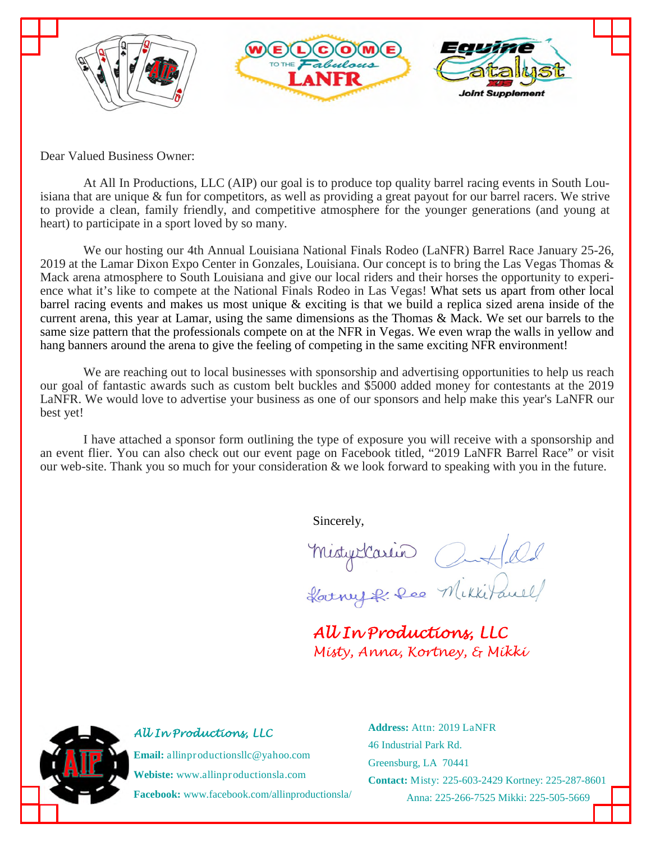

Dear Valued Business Owner:

At All In Productions, LLC (AIP) our goal is to produce top quality barrel racing events in South Louisiana that are unique & fun for competitors, as well as providing a great payout for our barrel racers. We strive to provide a clean, family friendly, and competitive atmosphere for the younger generations (and young at heart) to participate in a sport loved by so many.

We our hosting our 4th Annual Louisiana National Finals Rodeo (LaNFR) Barrel Race January 25-26, 2019 at the Lamar Dixon Expo Center in Gonzales, Louisiana. Our concept is to bring the Las Vegas Thomas & Mack arena atmosphere to South Louisiana and give our local riders and their horses the opportunity to experience what it's like to compete at the National Finals Rodeo in Las Vegas! What sets us apart from other local barrel racing events and makes us most unique & exciting is that we build a replica sized arena inside of the current arena, this year at Lamar, using the same dimensions as the Thomas & Mack. We set our barrels to the same size pattern that the professionals compete on at the NFR in Vegas. We even wrap the walls in yellow and hang banners around the arena to give the feeling of competing in the same exciting NFR environment!

We are reaching out to local businesses with sponsorship and advertising opportunities to help us reach our goal of fantastic awards such as custom belt buckles and \$5000 added money for contestants at the 2019 LaNFR. We would love to advertise your business as one of our sponsors and help make this year's LaNFR our best yet!

I have attached a sponsor form outlining the type of exposure you will receive with a sponsorship and an event flier. You can also check out our event page on Facebook titled, "2019 LaNFR Barrel Race" or visit our web-site. Thank you so much for your consideration & we look forward to speaking with you in the future.

Sincerely,

Mistyrlarin Outfled

*All In Productions, LLC Misty, Anna, Kortney, & Mikki* 

**Email:** allinproductionsllc@yahoo.com **Webiste:** www.allinproductionsla.com

*All In Productions, LLC* 

**Facebook:** www.facebook.com/allinproductionsla/

**Address:** Attn: 2019 LaNFR 46 Industrial Park Rd. Greensburg, LA 70441 **Contact:** Misty: 225-603-2429 Kortney: 225-287-8601 Anna: 225-266-7525 Mikki: 225-505-5669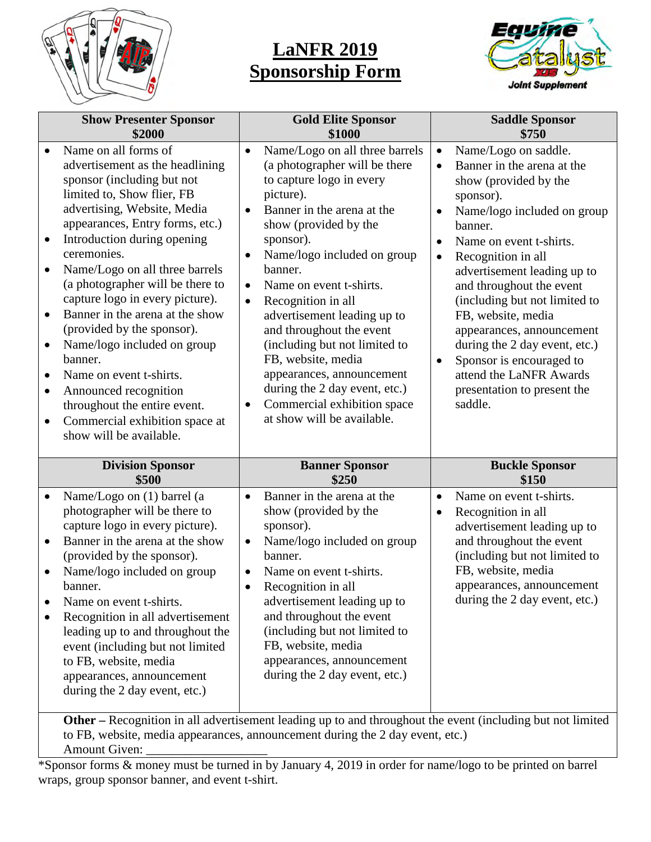

## **LaNFR 2019 Sponsorship Form**



| <b>Show Presenter Sponsor</b>                                                                                                                                                                                                                                                                                                                                                                                                                                                                                                                                                                                                                                                          | <b>Gold Elite Sponsor</b>                                                                                                                                                                                                                                                                                                                                                                                                                                                                                                                                                | <b>Saddle Sponsor</b>                                                                                                                                                                                                                                                                                                                                                                                                                                                                                                                              |
|----------------------------------------------------------------------------------------------------------------------------------------------------------------------------------------------------------------------------------------------------------------------------------------------------------------------------------------------------------------------------------------------------------------------------------------------------------------------------------------------------------------------------------------------------------------------------------------------------------------------------------------------------------------------------------------|--------------------------------------------------------------------------------------------------------------------------------------------------------------------------------------------------------------------------------------------------------------------------------------------------------------------------------------------------------------------------------------------------------------------------------------------------------------------------------------------------------------------------------------------------------------------------|----------------------------------------------------------------------------------------------------------------------------------------------------------------------------------------------------------------------------------------------------------------------------------------------------------------------------------------------------------------------------------------------------------------------------------------------------------------------------------------------------------------------------------------------------|
| \$2000                                                                                                                                                                                                                                                                                                                                                                                                                                                                                                                                                                                                                                                                                 | \$1000                                                                                                                                                                                                                                                                                                                                                                                                                                                                                                                                                                   | \$750                                                                                                                                                                                                                                                                                                                                                                                                                                                                                                                                              |
| Name on all forms of<br>advertisement as the headlining<br>sponsor (including but not<br>limited to, Show flier, FB<br>advertising, Website, Media<br>appearances, Entry forms, etc.)<br>Introduction during opening<br>$\bullet$<br>ceremonies.<br>Name/Logo on all three barrels<br>$\bullet$<br>(a photographer will be there to<br>capture logo in every picture).<br>Banner in the arena at the show<br>$\bullet$<br>(provided by the sponsor).<br>Name/logo included on group<br>$\bullet$<br>banner.<br>Name on event t-shirts.<br>Announced recognition<br>$\bullet$<br>throughout the entire event.<br>Commercial exhibition space at<br>$\bullet$<br>show will be available. | Name/Logo on all three barrels<br>$\bullet$<br>(a photographer will be there<br>to capture logo in every<br>picture).<br>Banner in the arena at the<br>show (provided by the<br>sponsor).<br>Name/logo included on group<br>banner.<br>Name on event t-shirts.<br>$\bullet$<br>Recognition in all<br>$\bullet$<br>advertisement leading up to<br>and throughout the event<br>(including but not limited to<br>FB, website, media<br>appearances, announcement<br>during the 2 day event, etc.)<br>Commercial exhibition space<br>$\bullet$<br>at show will be available. | Name/Logo on saddle.<br>$\bullet$<br>Banner in the arena at the<br>$\bullet$<br>show (provided by the<br>sponsor).<br>Name/logo included on group<br>$\bullet$<br>banner.<br>Name on event t-shirts.<br>$\bullet$<br>Recognition in all<br>$\bullet$<br>advertisement leading up to<br>and throughout the event<br>(including but not limited to<br>FB, website, media<br>appearances, announcement<br>during the 2 day event, etc.)<br>Sponsor is encouraged to<br>$\bullet$<br>attend the LaNFR Awards<br>presentation to present the<br>saddle. |
| <b>Division Sponsor</b>                                                                                                                                                                                                                                                                                                                                                                                                                                                                                                                                                                                                                                                                | <b>Banner Sponsor</b>                                                                                                                                                                                                                                                                                                                                                                                                                                                                                                                                                    | <b>Buckle Sponsor</b>                                                                                                                                                                                                                                                                                                                                                                                                                                                                                                                              |
| \$500                                                                                                                                                                                                                                                                                                                                                                                                                                                                                                                                                                                                                                                                                  | \$250                                                                                                                                                                                                                                                                                                                                                                                                                                                                                                                                                                    | \$150                                                                                                                                                                                                                                                                                                                                                                                                                                                                                                                                              |
| Name/Logo on (1) barrel (a<br>۰<br>photographer will be there to<br>capture logo in every picture).<br>Banner in the arena at the show<br>$\bullet$<br>(provided by the sponsor).<br>Name/logo included on group<br>banner.<br>Name on event t-shirts.<br>$\bullet$<br>Recognition in all advertisement<br>$\bullet$<br>leading up to and throughout the<br>event (including but not limited<br>to FB, website, media<br>appearances, announcement<br>during the 2 day event, etc.)                                                                                                                                                                                                    | Banner in the arena at the<br>$\bullet$<br>show (provided by the<br>sponsor).<br>Name/logo included on group<br>$\bullet$<br>banner.<br>Name on event t-shirts.<br>Recognition in all<br>advertisement leading up to<br>and throughout the event<br>(including but not limited to<br>FB, website, media<br>appearances, announcement<br>during the 2 day event, etc.)<br><b>Other</b> – Recognition in all advertisement leading up to and throughout the event (including but not limited                                                                               | Name on event t-shirts.<br>$\bullet$<br>Recognition in all<br>$\bullet$<br>advertisement leading up to<br>and throughout the event<br>(including but not limited to<br>FB, website, media<br>appearances, announcement<br>during the 2 day event, etc.)                                                                                                                                                                                                                                                                                            |

**Other –** Recognition in all advertisement leading up to and throughout the event (including but not limited to FB, website, media appearances, announcement during the 2 day event, etc.) Amount Given:

\*Sponsor forms & money must be turned in by January 4, 2019 in order for name/logo to be printed on barrel wraps, group sponsor banner, and event t-shirt.